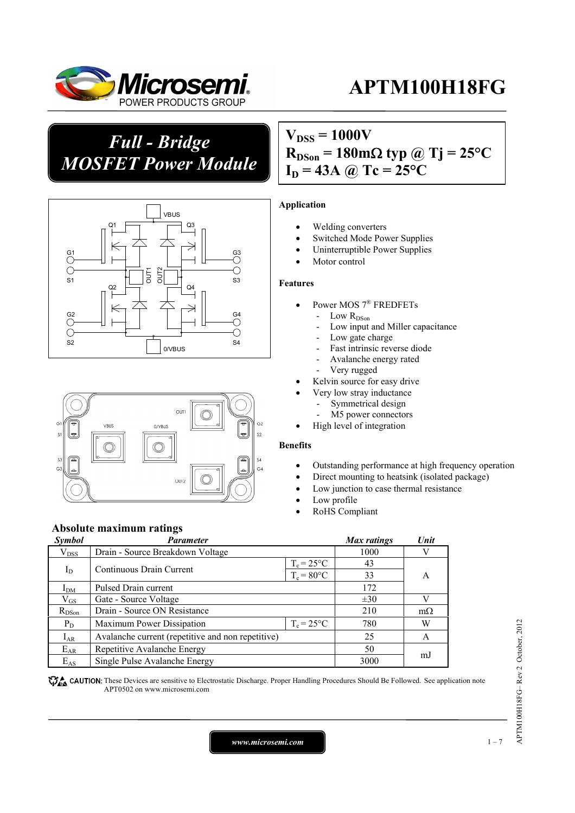

*Full - Bridge MOSFET Power Module*

## $V_{DSS} = 1000V$  $R_{DSon} = 180 \text{m}\Omega \text{ typ } @ \text{Tj} = 25 \text{°C}$





#### **Absolute maximum ratings**

| <b>Symbol</b> | <b>Parameter</b>                                  |                     | Max ratings | Unit      |
|---------------|---------------------------------------------------|---------------------|-------------|-----------|
| $V_{DSS}$     | Drain - Source Breakdown Voltage                  |                     | 1000        |           |
| $I_D$         | Continuous Drain Current                          | $T_c = 25^{\circ}C$ | 43          |           |
|               |                                                   | $T_c = 80$ °C       | 33          | A         |
| $I_{DM}$      | Pulsed Drain current                              | 172                 |             |           |
| $\rm V_{GS}$  | Gate - Source Voltage                             | $\pm 30$            |             |           |
| $R_{DSon}$    | Drain - Source ON Resistance                      |                     | 210         | $m\Omega$ |
| $P_D$         | Maximum Power Dissipation                         | $T_c = 25^{\circ}C$ | 780         | W         |
| $I_{AR}$      | Avalanche current (repetitive and non repetitive) |                     | 25          | A         |
| $E_{AR}$      | Repetitive Avalanche Energy                       |                     | 50          |           |
| $E_{AS}$      | Single Pulse Avalanche Energy                     |                     | 3000        | m.        |

CAUTION: These Devices are sensitive to Electrostatic Discharge. Proper Handling Procedures Should Be Followed. See application note APT0502 on www.microsemi.com

## $I_D = 43A$  @ Tc = 25<sup>o</sup>C

#### **Application**

- Welding converters
- Switched Mode Power Supplies
- Uninterruptible Power Supplies
- Motor control

#### **Features**

- Power MOS 7® FREDFETs
	- Low  $R_{DSon}$ 
		- Low input and Miller capacitance
		- Low gate charge
		- Fast intrinsic reverse diode
		- Avalanche energy rated
	- Very rugged
- Kelvin source for easy drive
- Very low stray inductance
	- Symmetrical design
	- M5 power connectors
- High level of integration

#### **Benefits**

- Outstanding performance at high frequency operation
- Direct mounting to heatsink (isolated package)
- Low junction to case thermal resistance
- Low profile
- RoHS Compliant

APTM100H18FG-Rev 2 October, 2012 APTM100H18FG– Rev 2 October, 2012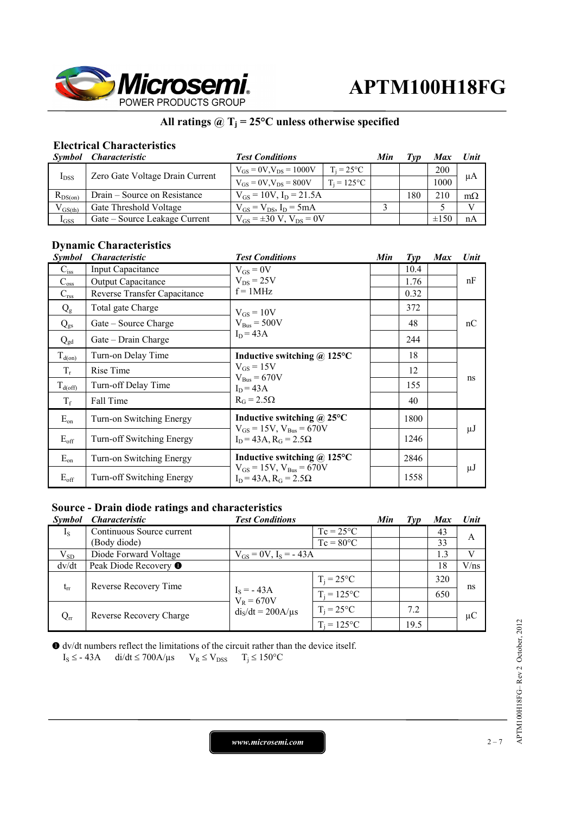

#### **All ratings @ Tj = 25°C unless otherwise specified**

#### **Electrical Characteristics**

|              | Symbol Characteristic           | <b>Test Conditions</b>              |                     | Min | Tvp | Max        | Unit      |
|--------------|---------------------------------|-------------------------------------|---------------------|-----|-----|------------|-----------|
| $I_{DSS}$    | Zero Gate Voltage Drain Current | $V_{GS} = 0V$ , $V_{DS} = 1000V$    | $T_i = 25^{\circ}C$ |     |     | <b>200</b> | μA        |
|              |                                 | $V_{GS} = 0V$ , $V_{DS} = 800V$     | $T_i = 125$ °C      |     |     | 1000       |           |
| $R_{DS(on)}$ | Drain – Source on Resistance    | $V_{GS} = 10V$ , $I_D = 21.5A$      |                     |     | 180 | 210        | $m\Omega$ |
| $V_{GS(th)}$ | Gate Threshold Voltage          | $V_{GS} = V_{DS}$ , $I_D = 5mA$     |                     |     |     |            | V         |
| $I_{GSS}$    | Gate – Source Leakage Current   | $V_{GS} = \pm 30 V$ , $V_{DS} = 0V$ |                     |     |     | $\pm 150$  | nA        |

#### **Dynamic Characteristics**

| <b>Symbol</b>    | <i><b>Characteristic</b></i> | <b>Test Conditions</b>                                                        | Min | $\mathcal{I}yp$ | <b>Max</b> | Unit    |
|------------------|------------------------------|-------------------------------------------------------------------------------|-----|-----------------|------------|---------|
| $C_{iss}$        | Input Capacitance            | $V_{GS} = 0V$                                                                 |     | 10.4            |            |         |
| $C_{\rm oss}$    | <b>Output Capacitance</b>    | $V_{DS}$ = 25V                                                                |     | 1.76            |            | nF      |
| $C_{\rm rss}$    | Reverse Transfer Capacitance | $f = 1MHz$                                                                    |     | 0.32            |            |         |
| $Q_{g}$          | Total gate Charge            | $V_{GS} = 10V$                                                                |     | 372             |            |         |
| $Q_{gs}$         | Gate – Source Charge         | $V_{\text{Bus}} = 500V$                                                       |     | 48              |            | nC      |
| $Q_{gd}$         | Gate - Drain Charge          | $I_D = 43A$                                                                   |     | 244             |            |         |
| $T_{d(on)}$      | Turn-on Delay Time           | Inductive switching $\omega$ 125°C                                            |     | 18              |            |         |
| $T_r$            | Rise Time                    | $V_{GS} = 15V$<br>$V_{\text{Bus}} = 670V$<br>$I_D = 43A$<br>$R_G = 2.5\Omega$ |     | 12              |            | ns      |
| $T_{d(off)}$     | Turn-off Delay Time          |                                                                               |     | 155             |            |         |
| $T_f$            | Fall Time                    |                                                                               |     | 40              |            |         |
| $E_{on}$         | Turn-on Switching Energy     | Inductive switching $\omega$ 25°C                                             |     | 1800            |            |         |
| $E_{\text{off}}$ | Turn-off Switching Energy    | $V_{GS} = 15V$ , $V_{Bus} = 670V$<br>$I_D = 43A$ , $R_G = 2.5\Omega$          |     | 1246            |            | $\mu$ J |
| $E_{on}$         | Turn-on Switching Energy     | Inductive switching $\omega$ 125°C                                            |     | 2846            |            |         |
| $E_{\rm off}$    | Turn-off Switching Energy    | $V_{GS} = 15V$ , $V_{Bus} = 670V$<br>$I_D = 43A$ , $R_G = 2.5\Omega$          |     | 1558            |            | μJ      |

#### **Source - Drain diode ratings and characteristics**

| <i>Symbol</i> | <i><b>Characteristic</b></i>  | <b>Test Conditions</b>       |                     | Min | Tvp  | <b>Max</b> | Unit    |
|---------------|-------------------------------|------------------------------|---------------------|-----|------|------------|---------|
| $I_{S}$       | Continuous Source current     |                              | $Tc = 25^{\circ}C$  |     |      | 43         | A       |
|               | (Body diode)                  |                              | $Tc = 80^{\circ}C$  |     |      | 33         |         |
| $V_{SD}$      | Diode Forward Voltage         | $V_{GS} = 0V$ , $I_S = -43A$ |                     |     |      | 1.3        | V       |
| dv/dt         | Peak Diode Recovery $\bullet$ |                              |                     |     |      | 18         | V/ns    |
| $t_{rr}$      | Reverse Recovery Time         |                              | $T_i = 25^{\circ}C$ |     |      | 320        | ns      |
|               |                               | $I_S = -43A$<br>$V_R = 670V$ | $T_i = 125$ °C      |     |      | 650        |         |
| $Q_{rr}$      | Reverse Recovery Charge       | $diS/dt = 200A/\mu s$        | $T_i = 25^{\circ}C$ |     | 7.2  |            | $\mu$ C |
|               |                               |                              | $T_i = 125$ °C      |     | 19.5 |            |         |

 dv/dt numbers reflect the limitations of the circuit rather than the device itself.  $I_S \leq -43A$  di/dt  $\leq 700A/\mu s$   $V_R \leq V_{DSS}$   $T_i \leq 150^{\circ}C$ 

*www.microsemi.com* 2-7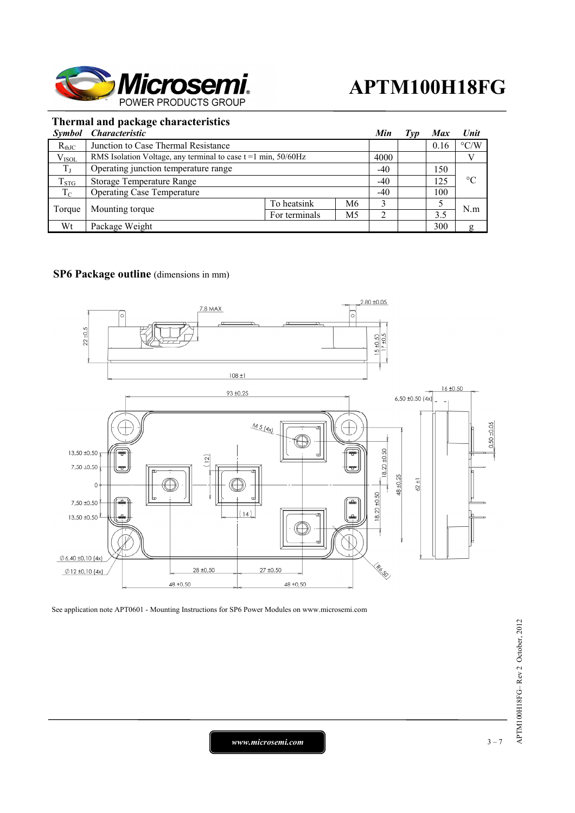

#### **Thermal and package characteristics**

|             | Symbol Characteristic                                               |               |    | Min   | Typ | <b>Max</b> | Unit               |
|-------------|---------------------------------------------------------------------|---------------|----|-------|-----|------------|--------------------|
| $R_{thJC}$  | Junction to Case Thermal Resistance                                 |               |    |       |     | 0.16       | $\rm ^{\circ} C/W$ |
| $V_{ISOL}$  | RMS Isolation Voltage, any terminal to case $t = 1$ min, $50/60$ Hz |               |    | 4000  |     |            |                    |
| $T_J$       | Operating junction temperature range                                |               |    | $-40$ |     | 150        | $\rm ^{\circ}C$    |
| $T_{STG}$   | <b>Storage Temperature Range</b>                                    |               |    | $-40$ |     | 125        |                    |
| $T_{\rm C}$ | <b>Operating Case Temperature</b>                                   |               |    | $-40$ |     | 100        |                    |
| Torque      | Mounting torque                                                     | To heatsink   | M6 | 2     |     |            | N.m                |
|             |                                                                     | For terminals | M5 |       |     | 3.5        |                    |
| Wt          | Package Weight                                                      |               |    |       |     | 300        | g                  |

#### **SP6 Package outline** (dimensions in mm)



See application note APT0601 - Mounting Instructions for SP6 Power Modules on www.microsemi.com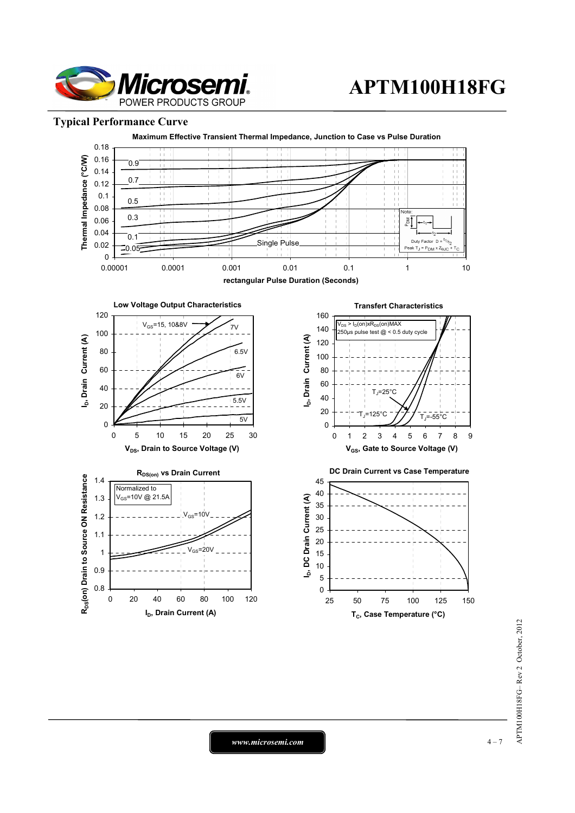

#### **Typical Performance Curve**



*www.microsemi.com* 4-7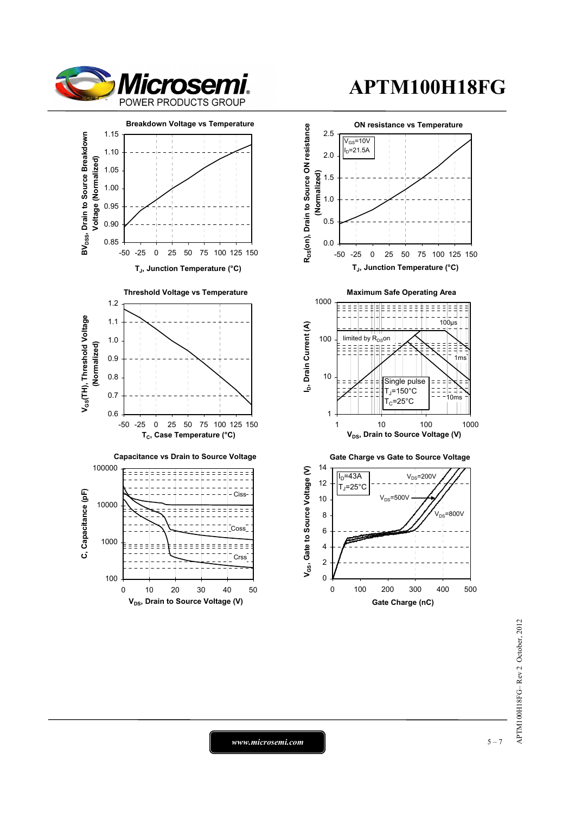



# APTM100H18FG-Rev 2 October, 2012 APTM100H18FG– Rev 2 October, 2012

*www.microsemi.com* 1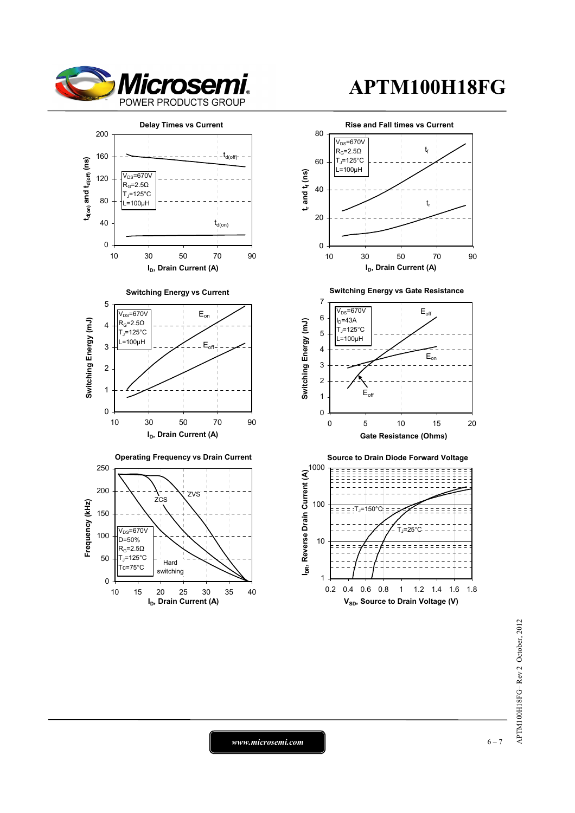



*www.microsemi.com* 6-7